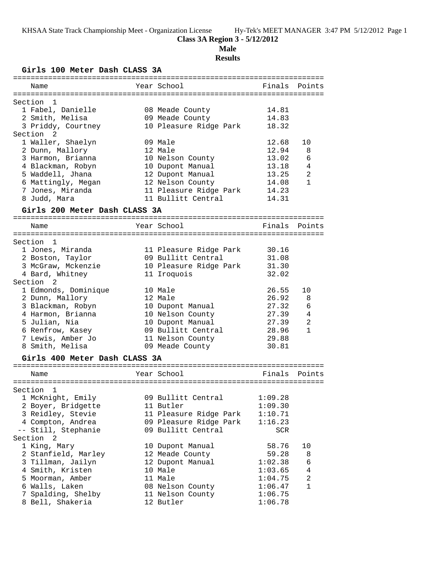# **Class 3A Region 3 - 5/12/2012**

**Male**

## **Results**

**Girls 100 Meter Dash CLASS 3A**

| ============================  |              |                        |         |                |
|-------------------------------|--------------|------------------------|---------|----------------|
| Name                          |              | Year School            | Finals  | Points         |
|                               |              |                        |         |                |
| Section<br>$\overline{1}$     |              |                        |         |                |
| 1 Fabel, Danielle             |              | 08 Meade County        | 14.81   |                |
| 2 Smith, Melisa               |              | 09 Meade County        | 14.83   |                |
| 3 Priddy, Courtney            |              | 10 Pleasure Ridge Park | 18.32   |                |
| Section 2                     |              |                        |         |                |
| 1 Waller, Shaelyn             |              | 09 Male                | 12.68   | 10             |
| 2 Dunn, Mallory               |              | 12 Male                | 12.94   | 8              |
| 3 Harmon, Brianna             |              | 10 Nelson County       | 13.02   | 6              |
| 4 Blackman, Robyn             |              | 10 Dupont Manual       | 13.18   | 4              |
| 5 Waddell, Jhana              |              | 12 Dupont Manual       | 13.25   | $\overline{2}$ |
| 6 Mattingly, Megan            |              | 12 Nelson County       | 14.08   | $\mathbf{1}$   |
| 7 Jones, Miranda              |              | 11 Pleasure Ridge Park | 14.23   |                |
| 8 Judd, Mara                  |              | 11 Bullitt Central     | 14.31   |                |
| Girls 200 Meter Dash CLASS 3A |              |                        |         |                |
| Name                          |              | Year School            | Finals  | Points         |
|                               |              |                        |         |                |
| Section 1                     |              |                        |         |                |
| 1 Jones, Miranda              |              | 11 Pleasure Ridge Park | 30.16   |                |
| 2 Boston, Taylor              |              | 09 Bullitt Central     | 31.08   |                |
| 3 McGraw, Mckenzie            |              | 10 Pleasure Ridge Park | 31.30   |                |
| 4 Bard, Whitney               |              | 11 Iroquois            | 32.02   |                |
| Section <sub>2</sub>          |              |                        |         |                |
| 1 Edmonds, Dominique          |              | 10 Male                | 26.55   | 10             |
| 2 Dunn, Mallory               |              | 12 Male                | 26.92   | 8              |
| 3 Blackman, Robyn             |              | 10 Dupont Manual       | 27.32   | 6              |
| 4 Harmon, Brianna             |              | 10 Nelson County       | 27.39   | 4              |
| 5 Julian, Nia                 |              | 10 Dupont Manual       | 27.39   | 2              |
| 6 Renfrow, Kasey              |              | 09 Bullitt Central     | 28.96   | 1              |
| 7 Lewis, Amber Jo             |              | 11 Nelson County       | 29.88   |                |
| 8 Smith, Melisa               |              | 09 Meade County        | 30.81   |                |
|                               |              |                        |         |                |
| Girls 400 Meter Dash CLASS 3A |              |                        |         |                |
| Name                          |              | Year School            | Finals  | Points         |
|                               | :=========== |                        |         |                |
| Section 1                     |              |                        |         |                |
| 1 McKnight, Emily             |              | 09 Bullitt Central     | 1:09.28 |                |
| 2 Boyer, Bridgette            |              | 11 Butler              | 1:09.30 |                |
| 3 Reidley, Stevie             |              | 11 Pleasure Ridge Park | 1:10.71 |                |
| 4 Compton, Andrea             |              | 09 Pleasure Ridge Park | 1:16.23 |                |
| -- Still, Stephanie           |              | 09 Bullitt Central     | SCR     |                |
| Section <sub>2</sub>          |              |                        |         |                |
| 1 King, Mary                  |              | 10 Dupont Manual       | 58.76   | 10             |
| 2 Stanfield, Marley           |              | 12 Meade County        | 59.28   | 8              |
| 3 Tillman, Jailyn             |              | 12 Dupont Manual       | 1:02.38 | 6              |
| 4 Smith, Kristen              |              | 10 Male                | 1:03.65 | 4              |
| 5 Moorman, Amber              |              | 11 Male                | 1:04.75 | 2              |
| 6 Walls, Laken                |              | 08 Nelson County       | 1:06.47 | $\mathbf{1}$   |
| 7 Spalding, Shelby            |              | 11 Nelson County       | 1:06.75 |                |
| 8 Bell, Shakeria              |              | 12 Butler              | 1:06.78 |                |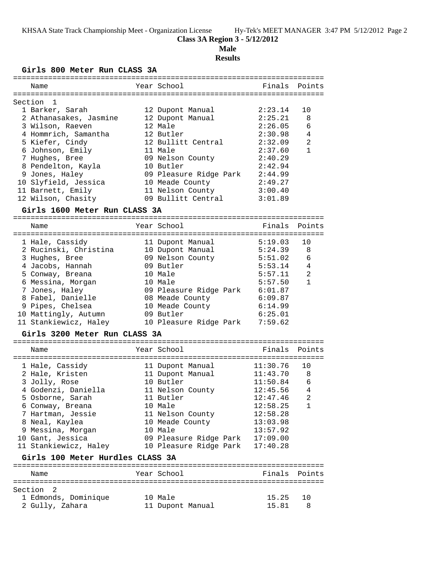### **Class 3A Region 3 - 5/12/2012**

**Male**

### **Results**

### **Girls 800 Meter Run CLASS 3A**

| Name                   | Year School            | Finals Points |                |
|------------------------|------------------------|---------------|----------------|
| Section 1              |                        |               |                |
| 1 Barker, Sarah        | 12 Dupont Manual       | 2:23.14       | 10             |
| 2 Athanasakes, Jasmine | 12 Dupont Manual       | 2:25.21       | -8             |
| 3 Wilson, Raeven       | 12 Male                | 2:26.05       | 6              |
| 4 Hommrich, Samantha   | 12 Butler              | 2:30.98       | $\overline{4}$ |
| 5 Kiefer, Cindy        | 12 Bullitt Central     | 2:32.09       | $\mathfrak{D}$ |
| 6 Johnson, Emily       | 11 Male                | 2:37.60       | $\mathbf{1}$   |
| 7 Hughes, Bree         | 09 Nelson County       | 2:40.29       |                |
| 8 Pendelton, Kayla     | 10 Butler              | 2:42.94       |                |
| 9 Jones, Haley         | 09 Pleasure Ridge Park | 2:44.99       |                |
| 10 Slyfield, Jessica   | 10 Meade County        | 2:49.27       |                |
| 11 Barnett, Emily      | 11 Nelson County       | 3:00.40       |                |
| 12 Wilson, Chasity     | 09 Bullitt Central     | 3:01.89       |                |
|                        |                        |               |                |

#### **Girls 1600 Meter Run CLASS 3A**

======================================================================= Name Year School Finals Points ======================================================================= 1 Hale, Cassidy 11 Dupont Manual 5:19.03 10 2 Rucinski, Christina 10 Dupont Manual 5:24.39 8 3 Hughes, Bree 09 Nelson County 5:51.02 6 4 Jacobs, Hannah 09 Butler 5:53.14 4 5 Conway, Breana 10 Male 5:57.11 2 6 Messina, Morgan 10 Male 5:57.50 1 7 Jones, Haley 09 Pleasure Ridge Park 6:01.87 8 Fabel, Danielle 08 Meade County 6:09.87 9 Pipes, Chelsea 10 Meade County 6:14.99 10 Mattingly, Autumn 09 Butler 6:25.01 11 Stankiewicz, Haley 10 Pleasure Ridge Park 7:59.62

#### **Girls 3200 Meter Run CLASS 3A**

| Name                                                                                                                      | Year School                                                                                                   | Finals Points                                                        |                                        |
|---------------------------------------------------------------------------------------------------------------------------|---------------------------------------------------------------------------------------------------------------|----------------------------------------------------------------------|----------------------------------------|
| 1 Hale, Cassidy<br>2 Hale, Kristen<br>3 Jolly, Rose<br>4 Godenzi, Daniella<br>5 Osborne, Sarah                            | 11 Dupont Manual<br>11 Dupont Manual<br>10 Butler<br>11 Nelson County<br>11 Butler                            | 11:30.76<br>11:43.70<br>11:50.84<br>12:45.56<br>12:47.46             | 1 O<br>- 8<br>6<br>$\overline{4}$<br>2 |
| 6 Conway, Breana<br>7 Hartman, Jessie<br>8 Neal, Kaylea<br>9 Messina, Morgan<br>10 Gant, Jessica<br>11 Stankiewicz, Haley | 10 Male<br>11 Nelson County<br>10 Meade County<br>10 Male<br>09 Pleasure Ridge Park<br>10 Pleasure Ridge Park | 12:58.25<br>12:58.28<br>13:03.98<br>13:57.92<br>17:09.00<br>17:40.28 | $\mathbf{1}$                           |
| Girls 100 Meter Hurdles CLASS 3A                                                                                          |                                                                                                               |                                                                      |                                        |
|                                                                                                                           |                                                                                                               |                                                                      |                                        |

| Name                 | Year School      | Finals Points            |  |
|----------------------|------------------|--------------------------|--|
| Section 2            |                  |                          |  |
| 1 Edmonds, Dominique | 10 Male          | 15.25<br>$\overline{10}$ |  |
| 2 Gully, Zahara      | 11 Dupont Manual | 15.81                    |  |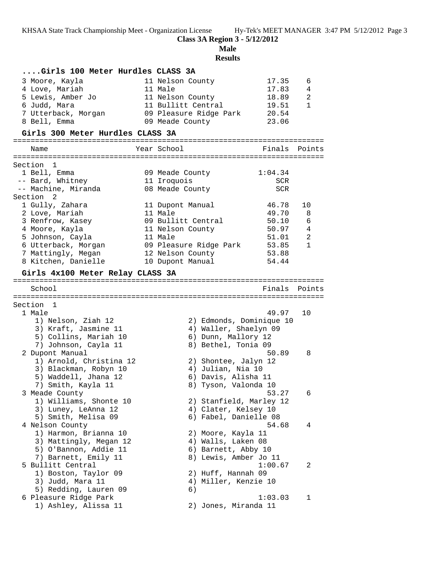**Class 3A Region 3 - 5/12/2012**

**Male**

**Results**

| Girls 100 Meter Hurdles CLASS 3A |                                 |              |
|----------------------------------|---------------------------------|--------------|
| 3 Moore, Kayla                   | 17.35<br>11 Nelson County       | 6            |
| 4 Love, Mariah                   | 11 Male<br>17.83                | 4            |
| 5 Lewis, Amber Jo                | 11 Nelson County<br>18.89       | 2            |
| 6 Judd, Mara                     | 11 Bullitt Central<br>19.51     | $\mathbf{1}$ |
| 7 Utterback, Morgan              | 20.54<br>09 Pleasure Ridge Park |              |
| 8 Bell, Emma                     | 23.06<br>09 Meade County        |              |
| Girls 300 Meter Hurdles CLASS 3A |                                 |              |
| Name                             | Year School<br>Finals           | Points       |
|                                  |                                 |              |
| Section<br>1                     |                                 |              |
| 1 Bell, Emma                     | 1:04.34<br>09 Meade County      |              |
| -- Bard, Whitney                 | 11 Iroquois<br>SCR              |              |
| -- Machine, Miranda              | 08 Meade County<br>SCR          |              |
| Section 2                        |                                 |              |
| 1 Gully, Zahara                  | 46.78<br>11 Dupont Manual       | 10           |
| 2 Love, Mariah                   | 11 Male<br>49.70                | 8            |
| 3 Renfrow, Kasey                 | 09 Bullitt Central<br>50.10     | 6            |
| 4 Moore, Kayla                   | 50.97<br>11 Nelson County       | 4            |
| 5 Johnson, Cayla                 | 11 Male<br>51.01                | 2            |
| 6 Utterback, Morgan              | 53.85<br>09 Pleasure Ridge Park | $\mathbf{1}$ |
| 7 Mattingly, Megan               | 12 Nelson County<br>53.88       |              |
| 8 Kitchen, Danielle              | 54.44<br>10 Dupont Manual       |              |
| Girls 4x100 Meter Relay CLASS 3A |                                 |              |
|                                  |                                 |              |
| School                           | Finals                          | Points       |
|                                  |                                 |              |
| Section 1                        |                                 |              |
| 1 Male                           | 49.97                           | 10           |
| 1) Nelson, Ziah 12               | 2) Edmonds, Dominique 10        |              |
| 3) Kraft, Jasmine 11             | 4) Waller, Shaelyn 09           |              |
| 5) Collins, Mariah 10            | 6) Dunn, Mallory 12             |              |
| 7) Johnson, Cayla 11             | 8) Bethel, Tonia 09             |              |
| 2 Dupont Manual                  | 50.89                           | 8            |
| 1) Arnold, Christina 12          | 2) Shontee, Jalyn 12            |              |
| 3) Blackman, Robyn 10            | 4) Julian, Nia 10               |              |
| 5) Waddell, Jhana 12             | 6) Davis, Alisha 11             |              |
| 7) Smith, Kayla 11               | 8) Tyson, Valonda 10            |              |
| 3 Meade County                   | 53.27                           | 6            |
| 1) Williams, Shonte 10           | 2) Stanfield, Marley 12         |              |
| 3) Luney, LeAnna 12              | 4) Clater, Kelsey 10            |              |
| 5) Smith, Melisa 09              | 6) Fabel, Danielle 08           |              |
| 4 Nelson County                  | 54.68                           | 4            |
| 1) Harmon, Brianna 10            | 2) Moore, Kayla 11              |              |
| 3) Mattingly, Megan 12           | 4) Walls, Laken 08              |              |
| 5) O'Bannon, Addie 11            | 6) Barnett, Abby 10             |              |
| 7) Barnett, Emily 11             | 8) Lewis, Amber Jo 11           |              |
| 5 Bullitt Central                | 1:00.67                         | 2            |
| 1) Boston, Taylor 09             | 2) Huff, Hannah 09              |              |
| 3) Judd, Mara 11                 | 4) Miller, Kenzie 10            |              |
| 5) Redding, Lauren 09            | 6)                              |              |
| 6 Pleasure Ridge Park            | 1:03.03                         | 1            |
| 1) Ashley, Alissa 11             | 2) Jones, Miranda 11            |              |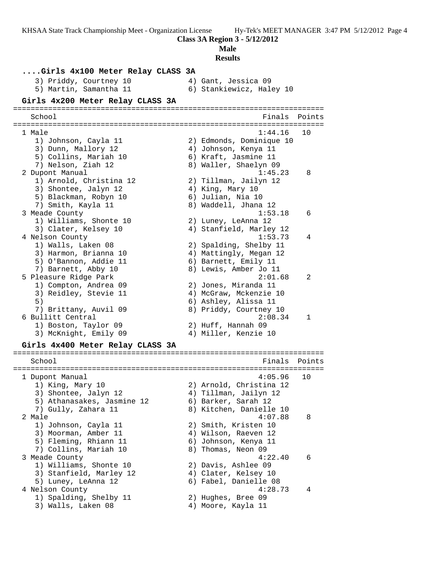**Class 3A Region 3 - 5/12/2012**

**Male**

### **Results ....Girls 4x100 Meter Relay CLASS 3A** 3) Priddy, Courtney 10 4) Gant, Jessica 09 5) Martin, Samantha 11 6) Stankiewicz, Haley 10 **Girls 4x200 Meter Relay CLASS 3A** ======================================================================= School **Finals Points** ======================================================================= 1 Male 1:44.16 10 1) Johnson, Cayla 11 2) Edmonds, Dominique 10 3) Dunn, Mallory 12 4) Johnson, Kenya 11 5) Collins, Mariah 10  $\qquad \qquad$  6) Kraft, Jasmine 11 7) Nelson, Ziah 12 8) Waller, Shaelyn 09 2 Dupont Manual 1:45.23 8 1) Arnold, Christina 12 2) Tillman, Jailyn 12 3) Shontee, Jalyn 12 (4) King, Mary 10 5) Blackman, Robyn 10 6) Julian, Nia 10 7) Smith, Kayla 11 8) Waddell, Jhana 12 3 Meade County 1:53.18 6 1) Williams, Shonte 10 2) Luney, LeAnna 12 3) Clater, Kelsey 10 4) Stanfield, Marley 12 4 Nelson County 1:53.73 4 1) Walls, Laken 08 2) Spalding, Shelby 11 3) Harmon, Brianna 10 4) Mattingly, Megan 12 5) O'Bannon, Addie 11 (6) Barnett, Emily 11 7) Barnett, Abby 10 8) Lewis, Amber Jo 11 5 Pleasure Ridge Park 2:01.68 2 1) Compton, Andrea 09 2) Jones, Miranda 11 3) Reidley, Stevie 11 4) McGraw, Mckenzie 10 5) 6) Ashley, Alissa 11 7) Brittany, Auvil 09 8) Priddy, Courtney 10 6 Bullitt Central 2:08.34 1 1) Boston, Taylor 09 2) Huff, Hannah 09 3) McKnight, Emily 09  $\hskip1cm$  4) Miller, Kenzie 10 **Girls 4x400 Meter Relay CLASS 3A** ======================================================================= School **Finals Points** ======================================================================= 1 Dupont Manual 4:05.96 10 1) King, Mary 10 2) Arnold, Christina 12 3) Shontee, Jalyn 12 4) Tillman, Jailyn 12 5) Athanasakes, Jasmine 12 6) Barker, Sarah 12 7) Gully, Zahara 11 8) Kitchen, Danielle 10 2 Male 4:07.88 8 1) Johnson, Cayla 11 2) Smith, Kristen 10 3) Moorman, Amber 11 (4) 4) Wilson, Raeven 12 5) Fleming, Rhiann 11  $\,$  6) Johnson, Kenya 11  $\,$ 7) Collins, Mariah 10 8) Thomas, Neon 09 3 Meade County 4:22.40 6

3) Stanfield, Marley 12 (4) Clater, Kelsey 10 5) Luney, LeAnna 12 6) Fabel, Danielle 08 4 Nelson County 4:28.73 4

1) Williams, Shonte 10 2) Davis, Ashlee 09

- 1) Spalding, Shelby 11 2) Hughes, Bree 09
- 3) Walls, Laken 08 4) Moore, Kayla 11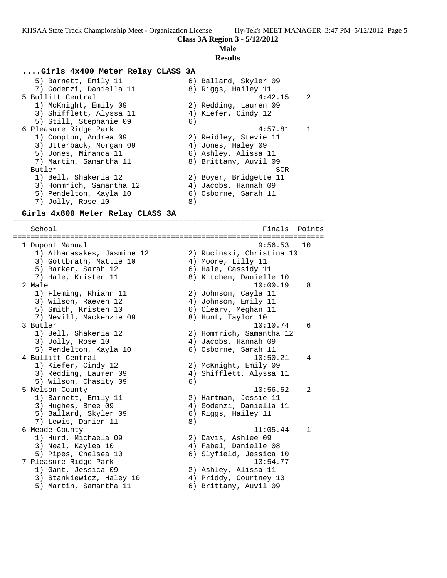# **Male**

### **Results**

#### **....Girls 4x400 Meter Relay CLASS 3A**

 5) Barnett, Emily 11 6) Ballard, Skyler 09 7) Godenzi, Daniella 11 and 8) Riggs, Hailey 11 5 Bullitt Central 4:42.15 2 1) McKnight, Emily 09 2) Redding, Lauren 09 3) Shifflett, Alyssa 11 (4) Kiefer, Cindy 12 5) Still, Stephanie 09 (6) 6 Pleasure Ridge Park 4:57.81 1 1) Compton, Andrea 09 2) Reidley, Stevie 11 3) Utterback, Morgan 09 4) Jones, Haley 09 5) Jones, Miranda 11  $\hskip10mm$  6) Ashley, Alissa 11 7) Martin, Samantha 11 8) Brittany, Auvil 09 -- Butler SCR 1) Bell, Shakeria 12 2) Boyer, Bridgette 11 3) Hommrich, Samantha 12 (4) Jacobs, Hannah 09 5) Pendelton, Kayla 10  $\qquad \qquad$  6) Osborne, Sarah 11 7) Jolly, Rose 10 8)

#### **Girls 4x800 Meter Relay CLASS 3A**

======================================================================= School Finals Points ======================================================================= 1 Dupont Manual 9:56.53 10 1) Athanasakes, Jasmine 12 2) Rucinski, Christina 10 3) Gottbrath, Mattie 10  $\hskip10mm 4$ ) Moore, Lilly 11 5) Barker, Sarah 12 6) Hale, Cassidy 11 7) Hale, Kristen 11 8) Kitchen, Danielle 10 2 Male 10:00.19 8 1) Fleming, Rhiann 11 2) Johnson, Cayla 11 3) Wilson, Raeven 12 (4) Johnson, Emily 11 5) Smith, Kristen 10 (6) Cleary, Meghan 11 7) Nevill, Mackenzie 09 8) Hunt, Taylor 10 3 Butler 10:10.74 6 1) Bell, Shakeria 12 2) Hommrich, Samantha 12 3) Jolly, Rose 10 (4) Jacobs, Hannah 09 5) Pendelton, Kayla 10 6) Osborne, Sarah 11 4 Bullitt Central 10:50.21 4 1) Kiefer, Cindy 12 2) McKnight, Emily 09 3) Redding, Lauren 09 4) Shifflett, Alyssa 11 5) Wilson, Chasity 09 6) 5 Nelson County 10:56.52 2 1) Barnett, Emily 11 2) Hartman, Jessie 11 3) Hughes, Bree 09 4) Godenzi, Daniella 11 5) Ballard, Skyler 09 (6) Riggs, Hailey 11 7) Lewis, Darien 11 and 8) 6 Meade County 11:05.44 1 1) Hurd, Michaela 09 2) Davis, Ashlee 09 3) Neal, Kaylea 10 4) Fabel, Danielle 08 5) Pipes, Chelsea 10 6) Slyfield, Jessica 10 7 Pleasure Ridge Park 13:54.77 1) Gant, Jessica 09 2) Ashley, Alissa 11 3) Stankiewicz, Haley 10 4) Priddy, Courtney 10 5) Martin, Samantha 11 6) Brittany, Auvil 09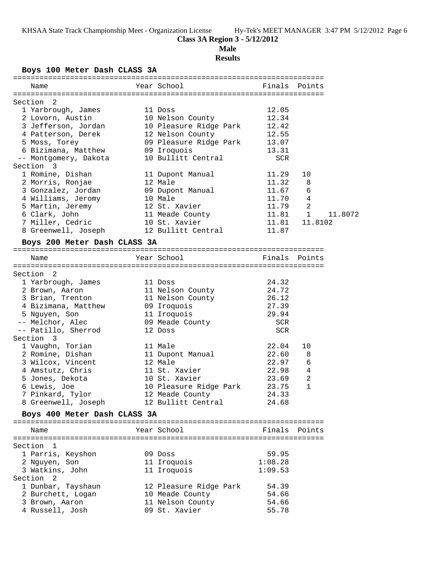# **Class 3A Region 3 - 5/12/2012**

### **Male**

## **Results**

### **Boys 100 Meter Dash CLASS 3A**

|           | DOYS IOU MECEL DASH CHADD JA            |                                                           |               |         |
|-----------|-----------------------------------------|-----------------------------------------------------------|---------------|---------|
| Name      |                                         | Year School and the School and the School                 | Finals Points |         |
|           |                                         |                                                           |               |         |
| Section   | $\overline{2}$                          |                                                           |               |         |
|           | 1 Yarbrough, James                      | 11 Doss                                                   | 12.05         |         |
|           | 2 Lovorn, Austin                        | --<br>10 Nelson County                                    | 12.34         |         |
|           |                                         | 3 Jefferson, Jordan 10 Pleasure Ridge Park 12.42          |               |         |
|           | 4 Patterson, Derek                      | 12 Nelson County                                          | 12.55         |         |
|           | 5 Moss, Torey                           | 12 Neison Councy<br>09 Pleasure Ridge Park 13.07<br>12.21 |               |         |
|           | 6 Bizimana, Matthew 09 Iroquois         |                                                           | 13.31         |         |
|           | -- Montgomery, Dakota                   | 10 Bullitt Central                                        | SCR           |         |
| Section 3 |                                         |                                                           |               |         |
|           | 1 Romine, Dishan                        | 11 Dupont Manual                                          | 11.29         | 10      |
|           | 2 Morris, Ronjae                        | 12 Male                                                   | 11.32         | 8       |
|           | 3 Gonzalez, Jordan                      | 09 Dupont Manual                                          | 11.67         | 6       |
|           | 4 Williams, Jeromy                      | 10 Male                                                   | 11.70         | 4       |
|           | 5 Martin, Jeremy<br>6 Clark, John       | 12 St. Xavier<br>11 Meade County                          | 11.79         | 2       |
|           |                                         |                                                           | $11.81$ 1     | 11.8072 |
|           | 7 Miller, Cedric                        | 10 St. Xavier                                             | 11.81         | 11.8102 |
|           |                                         | 8 Greenwell, Joseph 12 Bullitt Central                    | 11.87         |         |
|           | Boys 200 Meter Dash CLASS 3A            |                                                           |               |         |
| Name      |                                         | Year School                                               | Finals Points |         |
|           |                                         |                                                           |               |         |
| Section 2 |                                         |                                                           |               |         |
|           | 1 Yarbrough, James                      | 11 Doss                                                   | 24.32         |         |
|           | 2 Brown, Aaron                          | 11 Nelson County                                          | 24.72         |         |
|           | 3 Brian, Trenton                        | 11 Neison<br>11 Nelson County<br>09 Iroquois              | 26.12         |         |
|           | 4 Bizimana, Matthew                     |                                                           | 27.39         |         |
|           | 5 Nguyen, Son                           | contents<br>c 31 Iroquois<br>c 39 Meade County            | 29.94         |         |
|           | -- Melchor, Alec                        |                                                           | SCR           |         |
|           | -- Patillo, Sherrod                     | 12 Doss                                                   | SCR           |         |
| Section 3 |                                         |                                                           |               |         |
|           | 1 Vaughn, Torian                        | 11 Male                                                   | 22.04         | 10      |
|           | 2 Romine, Dishan                        | 11 Dupont Manual                                          | 22.60         | 8       |
|           | 3 Wilcox, Vincent                       | 12 Male                                                   | 22.97         | 6       |
|           | 4 Amstutz, Chris                        | 11 St. Xavier                                             | 22.98         | 4       |
|           | 5 Jones, Dekota                         | 10 St. Xavier                                             | 23.69         | 2       |
|           |                                         | 10 Pleasure Ridge Park 23.75                              |               | 1       |
|           | o Lewis, Joe<br>7 Pinkard, Tylor<br>0 T | 10 Please<br>12 Meade County<br>11 Meade County           | 24.33         |         |
|           |                                         | 8 Greenwell, Joseph 12 Bullitt Central                    | 24.68         |         |
|           | Boys 400 Meter Dash CLASS 3A            |                                                           |               |         |
| Name      |                                         | Year School                                               | Finals        | Points  |

| Section 1            |                        |         |
|----------------------|------------------------|---------|
| 1 Parris, Keyshon    | 09 Doss                | 59.95   |
| 2 Nguyen, Son        | 11 Iroquois            | 1:08.28 |
| 3 Watkins, John      | 11 Iroquois            | 1:09.53 |
| Section <sub>2</sub> |                        |         |
| 1 Dunbar, Tayshaun   | 12 Pleasure Ridge Park | 54.39   |
| 2 Burchett, Logan    | 10 Meade County        | 54.66   |
| 3 Brown, Aaron       | 11 Nelson County       | 54.66   |
| 4 Russell, Josh      | 09 St. Xavier          | 55.78   |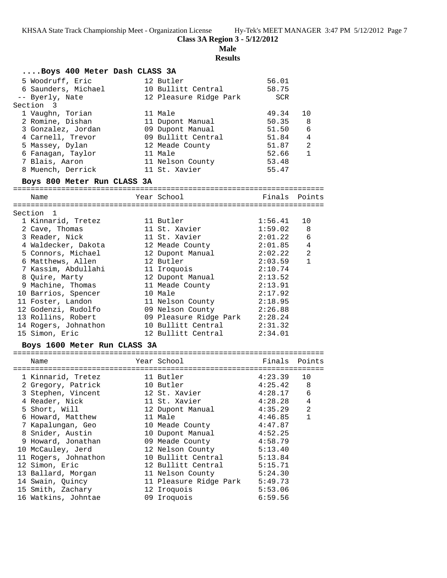**Class 3A Region 3 - 5/12/2012**

**Male**

**Results**

| Boys 400 Meter Dash CLASS 3A     |  |                                |             |                |  |  |
|----------------------------------|--|--------------------------------|-------------|----------------|--|--|
| 5 Woodruff, Eric                 |  | 12 Butler                      | 56.01       |                |  |  |
| 6 Saunders, Michael              |  | 10 Bullitt Central             | 58.75       |                |  |  |
| -- Byerly, Nate                  |  | 12 Pleasure Ridge Park         | SCR         |                |  |  |
| Section 3                        |  |                                |             |                |  |  |
| 1 Vaughn, Torian                 |  | 11 Male                        | 49.34       | 10             |  |  |
| 2 Romine, Dishan                 |  | 11 Dupont Manual               | 50.35       | 8              |  |  |
| 3 Gonzalez, Jordan               |  | 09 Dupont Manual               | 51.50       | 6              |  |  |
| 4 Carnell, Trevor                |  | 09 Bullitt Central             | 51.84       | 4              |  |  |
| 5 Massey, Dylan                  |  | 12 Meade County                | 51.87       | 2              |  |  |
| 6 Fanagan, Taylor                |  | 11 Male                        | 52.66       | $\mathbf{1}$   |  |  |
| 7 Blais, Aaron                   |  | 11 Nelson County               | 53.48       |                |  |  |
| 8 Muench, Derrick                |  | 11 St. Xavier                  | 55.47       |                |  |  |
| Boys 800 Meter Run CLASS 3A      |  |                                |             |                |  |  |
|                                  |  |                                |             |                |  |  |
| Name                             |  | Year School                    |             | Finals Points  |  |  |
| Section 1                        |  |                                |             |                |  |  |
| 1 Kinnarid, Tretez               |  | 11 Butler                      | 1:56.41     | 10             |  |  |
| 2 Cave, Thomas                   |  | 11 St. Xavier                  | 1:59.02     | 8              |  |  |
| 3 Reader, Nick                   |  | 11 St. Xavier                  | 2:01.22     | 6              |  |  |
| 4 Waldecker, Dakota              |  | 12 Meade County                | 2:01.85     | $\overline{4}$ |  |  |
| 5 Connors, Michael               |  | 12 Dupont Manual               | 2:02.22     | 2              |  |  |
| 6 Matthews, Allen                |  | 12 Butler                      | 2:03.59     | $\mathbf{1}$   |  |  |
| 7 Kassim, Abdullahi              |  | 11 Iroquois                    | 2:10.74     |                |  |  |
| 8 Quire, Marty                   |  | 12 Dupont Manual               | 2:13.52     |                |  |  |
| 9 Machine, Thomas                |  | 11 Meade County                | 2:13.91     |                |  |  |
| 10 Barrios, Spencer              |  | 10 Male                        | 2:17.92     |                |  |  |
| 11 Foster, Landon                |  | 11 Nelson County               | 2:18.95     |                |  |  |
| 12 Godenzi, Rudolfo              |  | 09 Nelson County               | 2:26.88     |                |  |  |
| 13 Rollins, Robert               |  | 09 Pleasure Ridge Park 2:28.24 |             |                |  |  |
| 14 Rogers, Johnathon             |  | 10 Bullitt Central             | 2:31.32     |                |  |  |
| 15 Simon, Eric                   |  | 12 Bullitt Central             | 2:34.01     |                |  |  |
| Boys 1600 Meter Run CLASS 3A     |  |                                |             |                |  |  |
|                                  |  |                                |             |                |  |  |
| Name                             |  | Year School                    | Finals      | Points         |  |  |
|                                  |  |                                |             |                |  |  |
| 1 Kinnarid, Tretez               |  | 11 Butler                      | 4:23.39     | 10             |  |  |
| 2 Gregory, Patrick               |  | 10 Butler                      | 4:25.42     | 8 <sup>8</sup> |  |  |
| 3 Stephen, Vincent 12 St. Xavier |  |                                | $4:28.17$ 6 |                |  |  |
| 4 Reader, Nick                   |  | 11 St. Xavier                  | 4:28.28     | 4              |  |  |
| 5 Short, Will                    |  | 12 Dupont Manual               | 4:35.29     | 2              |  |  |
| 6 Howard, Matthew                |  | 11 Male                        | 4:46.85     | 1              |  |  |
| 7 Kapalungan, Geo                |  | 10 Meade County                | 4:47.87     |                |  |  |
| 8 Snider, Austin                 |  | 10 Dupont Manual               | 4:52.25     |                |  |  |
| 9 Howard, Jonathan               |  | 09 Meade County                | 4:58.79     |                |  |  |
| 10 McCauley, Jerd                |  | 12 Nelson County               | 5:13.40     |                |  |  |
| 11 Rogers, Johnathon             |  | 10 Bullitt Central             | 5:13.84     |                |  |  |
| 12 Simon, Eric                   |  | 12 Bullitt Central             | 5:15.71     |                |  |  |
| 13 Ballard, Morgan               |  | 11 Nelson County               | 5:24.30     |                |  |  |
| 14 Swain, Quincy                 |  | 11 Pleasure Ridge Park         | 5:49.73     |                |  |  |
| 15 Smith, Zachary                |  | 12 Iroquois                    | 5:53.06     |                |  |  |
| 16 Watkins, Johntae              |  | 09 Iroquois                    | 6:59.56     |                |  |  |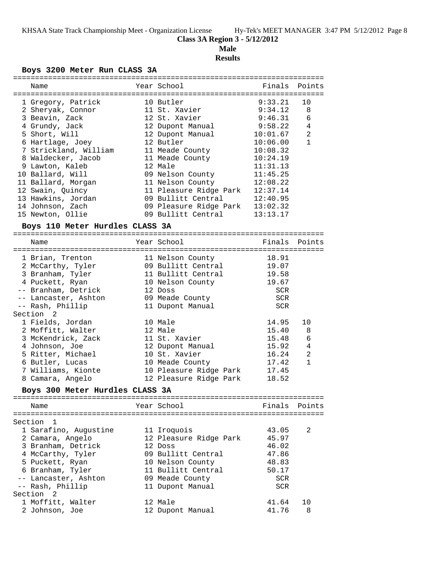### **Male**

**Results**

### **Boys 3200 Meter Run CLASS 3A**

| Name                            | Year School                                           | Finals     | Points       |
|---------------------------------|-------------------------------------------------------|------------|--------------|
|                                 |                                                       |            |              |
| 1 Gregory, Patrick              | 10 Butler                                             | 9:33.21    | 10           |
| 2 Sheryak, Connor               | 11 St. Xavier                                         | 9:34.12    | 8            |
| 3 Beavin, Zack                  | 12 St. Xavier                                         | 9:46.31    | 6            |
| 4 Grundy, Jack                  | 12 Dupont Manual                                      | 9:58.22    | 4            |
| 5 Short, Will                   | 12 Dupont Manual                                      | 10:01.67   | 2            |
| 6 Hartlage, Joey                | 12 Butler                                             | 10:06.00   | $\mathbf{1}$ |
| 7 Strickland, William           | 11 Meade County                                       | 10:08.32   |              |
| 8 Waldecker, Jacob              | 11 Meade County                                       | 10:24.19   |              |
| 9 Lawton, Kaleb                 | 12 Male                                               | 11:31.13   |              |
| 10 Ballard, Will                | 09 Nelson County                                      | 11:45.25   |              |
| 11 Ballard, Morgan              | 11 Nelson County                                      | 12:08.22   |              |
| 12 Swain, Quincy                | 11 Pleasure Ridge Park                                | 12:37.14   |              |
| 13 Hawkins, Jordan              | 09 Bullitt Central                                    | 12:40.95   |              |
| 14 Johnson, Zach                |                                                       |            |              |
| 15 Newton, Ollie                | 09 Pleasure Ridge Park 13:02.32<br>09 Bullitt Central | 13:13.17   |              |
|                                 |                                                       |            |              |
| Boys 110 Meter Hurdles CLASS 3A |                                                       |            |              |
| Name                            | Year School                                           | Finals     | Points       |
|                                 |                                                       |            |              |
| 1 Brian, Trenton                | 11 Nelson County                                      | 18.91      |              |
| 2 McCarthy, Tyler               | 09 Bullitt Central                                    | 19.07      |              |
| 3 Branham, Tyler                | 11 Bullitt Central                                    | 19.58      |              |
| 4 Puckett, Ryan                 | 10 Nelson County                                      | 19.67      |              |
| -- Branham, Detrick             | 12 Doss                                               | SCR        |              |
| -- Lancaster, Ashton            | 09 Meade County                                       | <b>SCR</b> |              |
| -- Rash, Phillip                | 11 Dupont Manual                                      | <b>SCR</b> |              |
| Section<br>2                    |                                                       |            |              |
| 1 Fields, Jordan                | 10 Male                                               | 14.95      | 10           |
| 2 Moffitt, Walter               | 12 Male                                               | 15.40      | 8            |
| 3 McKendrick, Zack              | 11 St. Xavier                                         | 15.48      | 6            |
| 4 Johnson, Joe                  | 12 Dupont Manual                                      | 15.92      | 4            |
|                                 | 10 St. Xavier                                         |            | 2            |
| 5 Ritter, Michael               |                                                       | 16.24      |              |
| 6 Butler, Lucas                 | 10 Meade County                                       | 17.42      | $\mathbf{1}$ |
| 7 Williams, Kionte              | 10 Pleasure Ridge Park                                | 17.45      |              |
| 8 Camara, Angelo                | 12 Pleasure Ridge Park                                | 18.52      |              |
| Boys 300 Meter Hurdles CLASS 3A |                                                       |            |              |
| Name                            | Year School                                           | Finals     | Points       |
|                                 |                                                       |            |              |
| Section<br>1                    |                                                       |            |              |
| 1 Sarafino, Augustine           | 11 Iroquois                                           | 43.05      | 2            |
| 2 Camara, Angelo                | 12 Pleasure Ridge Park                                | 45.97      |              |
| 3 Branham, Detrick              | 12 Doss                                               | 46.02      |              |
| 4 McCarthy, Tyler               | 09 Bullitt Central                                    | 47.86      |              |
| 5 Puckett, Ryan                 | 10 Nelson County                                      | 48.83      |              |
| 6 Branham, Tyler                | 11 Bullitt Central                                    | 50.17      |              |
| -- Lancaster, Ashton            | 09 Meade County                                       | SCR        |              |
| -- Rash, Phillip                | 11 Dupont Manual                                      | SCR        |              |
| Section<br>2                    |                                                       |            |              |
| 1 Moffitt, Walter               | 12 Male                                               | 41.64      | 10           |
| 2 Johnson, Joe                  | 12 Dupont Manual                                      | 41.76      | 8            |
|                                 |                                                       |            |              |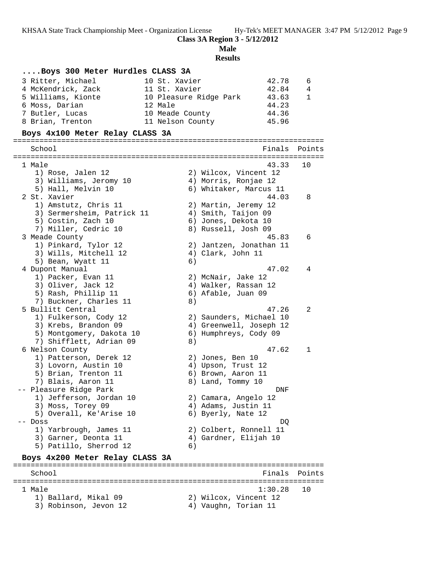**Class 3A Region 3 - 5/12/2012**

**Male**

**Results**

### **....Boys 300 Meter Hurdles CLASS 3A** 3 Ritter, Michael 10 St. Xavier 42.78 6 4 McKendrick, Zack 11 St. Xavier 42.84 4 5 Williams, Kionte 10 Pleasure Ridge Park 43.63 1 6 Moss, Darian 12 Male 44.23 7 Butler, Lucas 10 Meade County 44.36 8 Brian, Trenton 11 Nelson County 45.96 **Boys 4x100 Meter Relay CLASS 3A** ======================================================================= Finals Points ======================================================================= 1 Male 43.33 10 1) Rose, Jalen 12 2) Wilcox, Vincent 12 3) Williams, Jeromy 10  $\hphantom{\text{2.65}$  4) Morris, Ronjae 12 5) Hall, Melvin 10 6) Whitaker, Marcus 11 2 St. Xavier 44.03 8 1) Amstutz, Chris 11 (2) Martin, Jeremy 12 3) Sermersheim, Patrick 11 4) Smith, Taijon 09 5) Costin, Zach 10 6) Jones, Dekota 10 7) Miller, Cedric 10 8) Russell, Josh 09 3 Meade County 45.83 6 1) Pinkard, Tylor 12 2) Jantzen, Jonathan 11 3) Wills, Mitchell 12 (4) Clark, John 11 5) Bean, Wyatt 11 6) 4 Dupont Manual 47.02 4 1) Packer, Evan 11 2) McNair, Jake 12 3) Oliver, Jack 12 (4) Walker, Rassan 12 5) Rash, Phillip 11 6) Afable, Juan 09 7) Buckner, Charles 11 (8) 5 Bullitt Central 47.26 2 1) Fulkerson, Cody 12 2) Saunders, Michael 10 3) Krebs, Brandon 09 4) Greenwell, Joseph 12 5) Montgomery, Dakota 10 6) Humphreys, Cody 09 7) Shifflett, Adrian 09 8) 6 Nelson County 47.62 1 1) Patterson, Derek 12 (2) Jones, Ben 10 3) Lovorn, Austin 10 (4) Upson, Trust 12 5) Brian, Trenton 11 (6) Brown, Aaron 11 7) Blais, Aaron 11 8) Land, Tommy 10 -- Pleasure Ridge Park DNF 1) Jefferson, Jordan 10 2) Camara, Angelo 12 3) Moss, Torey 09 (4) Adams, Justin 11 5) Overall, Ke'Arise 10 (6) Byerly, Nate 12 -- Doss DQ 1) Yarbrough, James 11 2) Colbert, Ronnell 11 3) Garner, Deonta 11 4) Gardner, Elijah 10 5) Patillo, Sherrod 12 (6) **Boys 4x200 Meter Relay CLASS 3A** ======================================================================= School **Finals Points** ======================================================================= 1 Male 1:30.28 10 1) Ballard, Mikal 09 2) Wilcox, Vincent 12 3) Robinson, Jevon 12 (4) Vaughn, Torian 11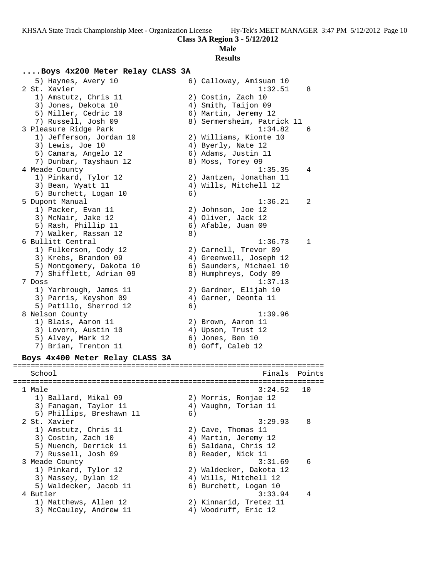#### **Male**

**Results**

### **....Boys 4x200 Meter Relay CLASS 3A**

 5) Haynes, Avery 10 6) Calloway, Amisuan 10 2 St. Xavier 1:32.51 8 1) Amstutz, Chris 11 2) Costin, Zach 10 3) Jones, Dekota 10 (4) Smith, Taijon 09 5) Miller, Cedric 10 (6) Martin, Jeremy 12 7) Russell, Josh 09 8) Sermersheim, Patrick 11 3 Pleasure Ridge Park 1:34.82 6 1) Jefferson, Jordan 10 2) Williams, Kionte 10 3) Lewis, Joe 10 4) Byerly, Nate 12 5) Camara, Angelo 12 (6) Adams, Justin 11 7) Dunbar, Tayshaun 12 and 8) Moss, Torey 09 4 Meade County 1:35.35 4 1) Pinkard, Tylor 12 2) Jantzen, Jonathan 11 3) Bean, Wyatt 11 4) Wills, Mitchell 12 5) Burchett, Logan 10 (6) 5 Dupont Manual 1:36.21 2 1) Packer, Evan 11 2) Johnson, Joe 12 3) McNair, Jake 12 (4) Oliver, Jack 12 5) Rash, Phillip 11 6) Afable, Juan 09 7) Walker, Rassan 12 a 6 Bullitt Central 1:36.73 1 1) Fulkerson, Cody 12 2) Carnell, Trevor 09 3) Krebs, Brandon 09 4) Greenwell, Joseph 12 5) Montgomery, Dakota 10 6) Saunders, Michael 10 7) Shifflett, Adrian 09 8) Humphreys, Cody 09 7 Doss 1:37.13 1) Yarbrough, James 11 2) Gardner, Elijah 10 3) Parris, Keyshon 09 4) Garner, Deonta 11 5) Patillo, Sherrod 12 (6) 8 Nelson County 2018 1:39.96 1) Blais, Aaron 11 2) Brown, Aaron 11 3) Lovorn, Austin 10 (4) Upson, Trust 12 5) Alvey, Mark 12 (6) Jones, Ben 10 7) Brian, Trenton 11 and 8) Goff, Caleb 12 **Boys 4x400 Meter Relay CLASS 3A** ======================================================================= School **Finals** Points **Points** ======================================================================= 1 Male 3:24.52 10 1) Ballard, Mikal 09 2) Morris, Ronjae 12 3) Fanagan, Taylor 11 4) Vaughn, Torian 11

5) Phillips, Breshawn 11 (6) 2 St. Xavier 3:29.93 8 1) Amstutz, Chris 11 2) Cave, Thomas 11 3) Costin, Zach 10 (4) Martin, Jeremy 12 5) Muench, Derrick 11 6) Saldana, Chris 12 7) Russell, Josh 09 8) Reader, Nick 11 3 Meade County 3:31.69 6 1) Pinkard, Tylor 12 2) Waldecker, Dakota 12 3) Massey, Dylan 12 4) Wills, Mitchell 12 5) Waldecker, Jacob 11 6) Burchett, Logan 10 4 Butler 3:33.94 4 1) Matthews, Allen 12 2) Kinnarid, Tretez 11 3) McCauley, Andrew 11 4) Woodruff, Eric 12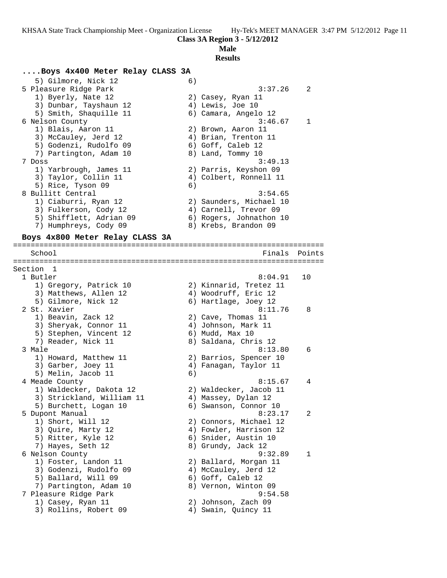## **Male**

**Results**

#### **....Boys 4x400 Meter Relay CLASS 3A**

5) Gilmore, Nick 12 6) 5 Pleasure Ridge Park 3:37.26 2 1) Byerly, Nate 12 2) Casey, Ryan 11 3) Dunbar, Tayshaun 12 (4) Lewis, Joe 10 5) Smith, Shaquille 11 (6) Camara, Angelo 12 6 Nelson County 3:46.67 1 1) Blais, Aaron 11 2) Brown, Aaron 11 3) McCauley, Jerd 12 (4) Brian, Trenton 11 5) Godenzi, Rudolfo 09 (6) Goff, Caleb 12 7) Partington, Adam 10 8) Land, Tommy 10 7 Doss 3:49.13 1) Yarbrough, James 11 2) Parris, Keyshon 09 3) Taylor, Collin 11 4) Colbert, Ronnell 11 5) Rice, Tyson 09 (6) 8 Bullitt Central 3:54.65 1) Ciaburri, Ryan 12 2) Saunders, Michael 10 3) Fulkerson, Cody 12 4) Carnell, Trevor 09 5) Shifflett, Adrian 09 6) Rogers, Johnathon 10 7) Humphreys, Cody 09 8) Krebs, Brandon 09

#### **Boys 4x800 Meter Relay CLASS 3A** =======================================================================

School **Finals Points** ======================================================================= Section 1 1 Butler 8:04.91 10 1) Gregory, Patrick 10 2) Kinnarid, Tretez 11 3) Matthews, Allen 12 4) Woodruff, Eric 12 5) Gilmore, Nick 12 (6) Hartlage, Joey 12 2 St. Xavier 8:11.76 8 1) Beavin, Zack 12 2) Cave, Thomas 11 3) Sheryak, Connor 11 (4) Johnson, Mark 11 5) Stephen, Vincent 12 (6) Mudd, Max 10 7) Reader, Nick 11 8) Saldana, Chris 12 3 Male 6:13.80 6:13.80 6:13.80 6:13.80 6:13.80 6:13.80 6:13.80 6:13.80 6:13.80 6:13.80 6:13.80 6:13 1) Howard, Matthew 11 2) Barrios, Spencer 10 3) Garber, Joey 11 4) Fanagan, Taylor 11 5) Melin, Jacob 11 6) 4 Meade County 8:15.67 4 1) Waldecker, Dakota 12 2) Waldecker, Jacob 11 3) Strickland, William 11 4) Massey, Dylan 12 5) Burchett, Logan 10 6) Swanson, Connor 10 5 Dupont Manual 8:23.17 2 1) Short, Will 12 2) Connors, Michael 12 3) Quire, Marty 12 4) Fowler, Harrison 12 5) Ritter, Kyle 12 (6) Snider, Austin 10 7) Hayes, Seth 12 8) Grundy, Jack 12 6 Nelson County 9:32.89 1 1) Foster, Landon 11 2) Ballard, Morgan 11 3) Godenzi, Rudolfo 09 4) McCauley, Jerd 12 5) Ballard, Will 09 6) Goff, Caleb 12 7) Partington, Adam 10 8) Vernon, Winton 09 7 Pleasure Ridge Park 9:54.58 1) Casey, Ryan 11 2) Johnson, Zach 09 3) Rollins, Robert 09 (4) Swain, Quincy 11